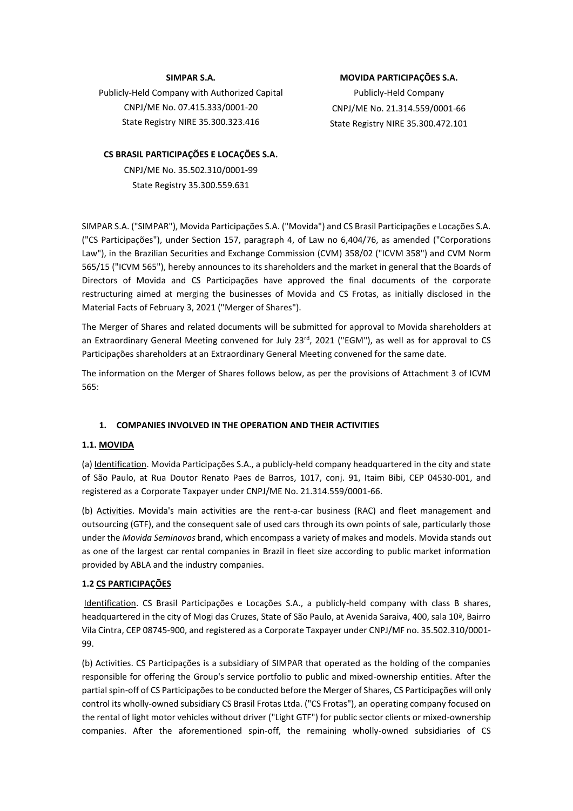#### **SIMPAR S.A.**

Publicly-Held Company with Authorized Capital CNPJ/ME No. 07.415.333/0001-20 State Registry NIRE 35.300.323.416

#### **CS BRASIL PARTICIPAÇÕES E LOCAÇÕES S.A.**

CNPJ/ME No. 35.502.310/0001-99 State Registry 35.300.559.631

#### **MOVIDA PARTICIPAÇÕES S.A.**

Publicly-Held Company CNPJ/ME No. 21.314.559/0001-66 State Registry NIRE 35.300.472.101

SIMPAR S.A. ("SIMPAR"), Movida Participações S.A. ("Movida") and CS Brasil Participações e Locações S.A. ("CS Participações"), under Section 157, paragraph 4, of Law no 6,404/76, as amended ("Corporations Law"), in the Brazilian Securities and Exchange Commission (CVM) 358/02 ("ICVM 358") and CVM Norm 565/15 ("ICVM 565"), hereby announces to its shareholders and the market in general that the Boards of Directors of Movida and CS Participações have approved the final documents of the corporate restructuring aimed at merging the businesses of Movida and CS Frotas, as initially disclosed in the Material Facts of February 3, 2021 ("Merger of Shares").

The Merger of Shares and related documents will be submitted for approval to Movida shareholders at an Extraordinary General Meeting convened for July 23<sup>rd</sup>, 2021 ("EGM"), as well as for approval to CS Participações shareholders at an Extraordinary General Meeting convened for the same date.

The information on the Merger of Shares follows below, as per the provisions of Attachment 3 of ICVM 565:

#### **1. COMPANIES INVOLVED IN THE OPERATION AND THEIR ACTIVITIES**

#### **1.1. MOVIDA**

(a) Identification. Movida Participações S.A., a publicly-held company headquartered in the city and state of São Paulo, at Rua Doutor Renato Paes de Barros, 1017, conj. 91, Itaim Bibi, CEP 04530-001, and registered as a Corporate Taxpayer under CNPJ/ME No. 21.314.559/0001-66.

(b) Activities. Movida's main activities are the rent-a-car business (RAC) and fleet management and outsourcing (GTF), and the consequent sale of used cars through its own points of sale, particularly those under the *Movida Seminovos* brand, which encompass a variety of makes and models. Movida stands out as one of the largest car rental companies in Brazil in fleet size according to public market information provided by ABLA and the industry companies.

#### **1.2 CS PARTICIPAÇÕES**

Identification. CS Brasil Participações e Locações S.A., a publicly-held company with class B shares, headquartered in the city of Mogi das Cruzes, State of São Paulo, at Avenida Saraiva, 400, sala 10ª, Bairro Vila Cintra, CEP 08745-900, and registered as a Corporate Taxpayer under CNPJ/MF no. 35.502.310/0001- 99.

(b) Activities. CS Participações is a subsidiary of SIMPAR that operated as the holding of the companies responsible for offering the Group's service portfolio to public and mixed-ownership entities. After the partial spin-off of CS Participações to be conducted before the Merger of Shares, CS Participações will only control its wholly-owned subsidiary CS Brasil Frotas Ltda. ("CS Frotas"), an operating company focused on the rental of light motor vehicles without driver ("Light GTF") for public sector clients or mixed-ownership companies. After the aforementioned spin-off, the remaining wholly-owned subsidiaries of CS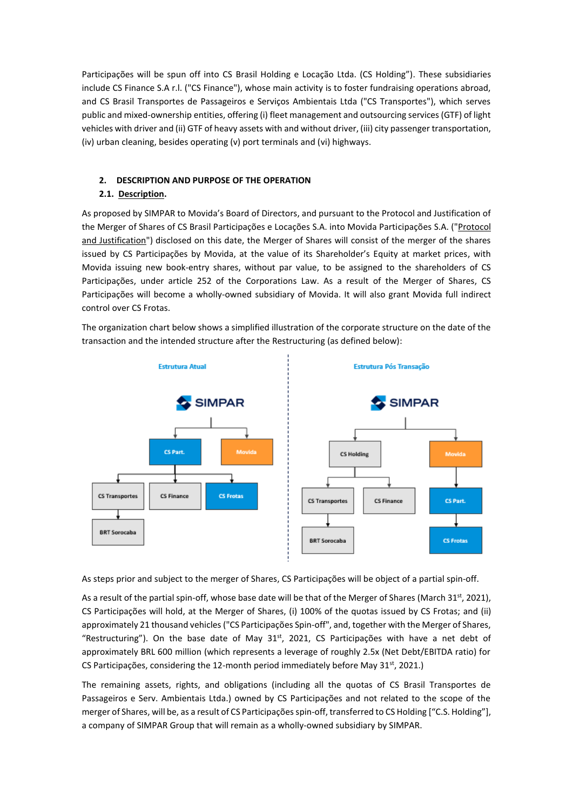Participações will be spun off into CS Brasil Holding e Locação Ltda. (CS Holding"). These subsidiaries include CS Finance S.A r.l. ("CS Finance"), whose main activity is to foster fundraising operations abroad, and CS Brasil Transportes de Passageiros e Serviços Ambientais Ltda ("CS Transportes"), which serves public and mixed-ownership entities, offering (i) fleet management and outsourcing services (GTF) of light vehicles with driver and (ii) GTF of heavy assets with and without driver, (iii) city passenger transportation, (iv) urban cleaning, besides operating (v) port terminals and (vi) highways.

## **2. DESCRIPTION AND PURPOSE OF THE OPERATION**

## **2.1. Description.**

As proposed by SIMPAR to Movida's Board of Directors, and pursuant to the Protocol and Justification of the Merger of Shares of CS Brasil Participações e Locações S.A. into Movida Participações S.A. ("Protocol and Justification") disclosed on this date, the Merger of Shares will consist of the merger of the shares issued by CS Participações by Movida, at the value of its Shareholder's Equity at market prices, with Movida issuing new book-entry shares, without par value, to be assigned to the shareholders of CS Participações, under article 252 of the Corporations Law. As a result of the Merger of Shares, CS Participações will become a wholly-owned subsidiary of Movida. It will also grant Movida full indirect control over CS Frotas.

The organization chart below shows a simplified illustration of the corporate structure on the date of the transaction and the intended structure after the Restructuring (as defined below):



As steps prior and subject to the merger of Shares, CS Participações will be object of a partial spin-off.

As a result of the partial spin-off, whose base date will be that of the Merger of Shares (March 31<sup>st</sup>, 2021), CS Participações will hold, at the Merger of Shares, (i) 100% of the quotas issued by CS Frotas; and (ii) approximately 21 thousand vehicles ("CS Participações Spin-off", and, together with the Merger of Shares, "Restructuring"). On the base date of May  $31<sup>st</sup>$ , 2021, CS Participações with have a net debt of approximately BRL 600 million (which represents a leverage of roughly 2.5x (Net Debt/EBITDA ratio) for CS Participações, considering the 12-month period immediately before May  $31<sup>st</sup>$ , 2021.)

The remaining assets, rights, and obligations (including all the quotas of CS Brasil Transportes de Passageiros e Serv. Ambientais Ltda.) owned by CS Participações and not related to the scope of the merger of Shares, will be, as a result of CS Participações spin-off, transferred to CS Holding ["C.S. Holding"], a company of SIMPAR Group that will remain as a wholly-owned subsidiary by SIMPAR.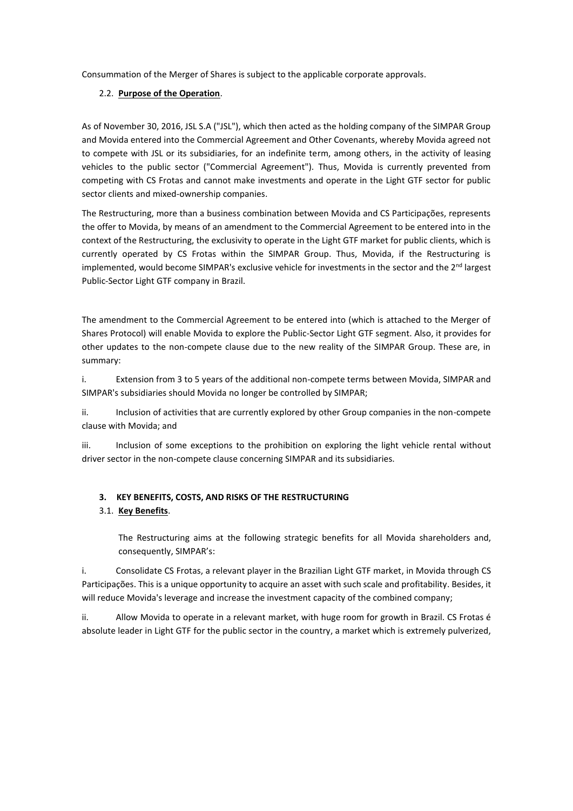Consummation of the Merger of Shares is subject to the applicable corporate approvals.

### 2.2. **Purpose of the Operation**.

As of November 30, 2016, JSL S.A ("JSL"), which then acted as the holding company of the SIMPAR Group and Movida entered into the Commercial Agreement and Other Covenants, whereby Movida agreed not to compete with JSL or its subsidiaries, for an indefinite term, among others, in the activity of leasing vehicles to the public sector ("Commercial Agreement"). Thus, Movida is currently prevented from competing with CS Frotas and cannot make investments and operate in the Light GTF sector for public sector clients and mixed-ownership companies.

The Restructuring, more than a business combination between Movida and CS Participações, represents the offer to Movida, by means of an amendment to the Commercial Agreement to be entered into in the context of the Restructuring, the exclusivity to operate in the Light GTF market for public clients, which is currently operated by CS Frotas within the SIMPAR Group. Thus, Movida, if the Restructuring is implemented, would become SIMPAR's exclusive vehicle for investments in the sector and the  $2<sup>nd</sup>$  largest Public-Sector Light GTF company in Brazil.

The amendment to the Commercial Agreement to be entered into (which is attached to the Merger of Shares Protocol) will enable Movida to explore the Public-Sector Light GTF segment. Also, it provides for other updates to the non-compete clause due to the new reality of the SIMPAR Group. These are, in summary:

i. Extension from 3 to 5 years of the additional non-compete terms between Movida, SIMPAR and SIMPAR's subsidiaries should Movida no longer be controlled by SIMPAR;

ii. Inclusion of activities that are currently explored by other Group companies in the non-compete clause with Movida; and

iii. Inclusion of some exceptions to the prohibition on exploring the light vehicle rental without driver sector in the non-compete clause concerning SIMPAR and its subsidiaries.

### **3. KEY BENEFITS, COSTS, AND RISKS OF THE RESTRUCTURING**

### 3.1. **Key Benefits**.

The Restructuring aims at the following strategic benefits for all Movida shareholders and, consequently, SIMPAR's:

i. Consolidate CS Frotas, a relevant player in the Brazilian Light GTF market, in Movida through CS Participações. This is a unique opportunity to acquire an asset with such scale and profitability. Besides, it will reduce Movida's leverage and increase the investment capacity of the combined company;

ii. Allow Movida to operate in a relevant market, with huge room for growth in Brazil. CS Frotas é absolute leader in Light GTF for the public sector in the country, a market which is extremely pulverized,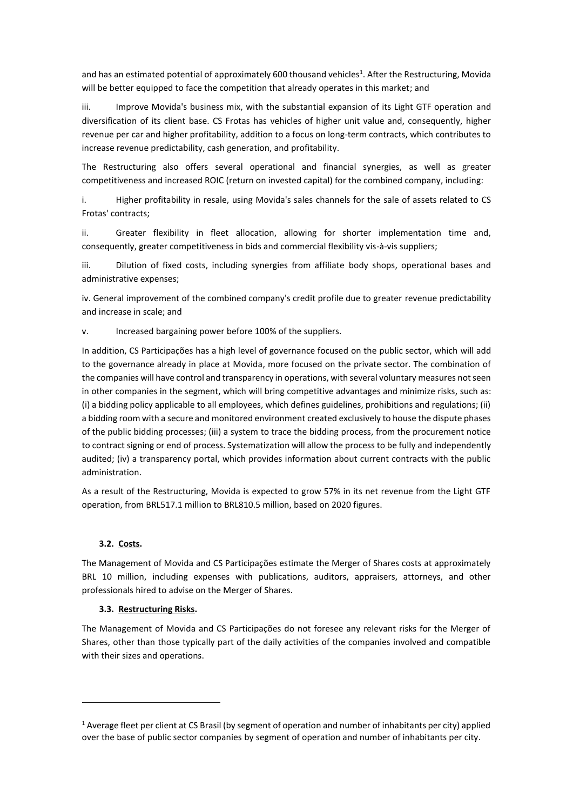and has an estimated potential of approximately 600 thousand vehicles<sup>1</sup>. After the Restructuring, Movida will be better equipped to face the competition that already operates in this market; and

iii. Improve Movida's business mix, with the substantial expansion of its Light GTF operation and diversification of its client base. CS Frotas has vehicles of higher unit value and, consequently, higher revenue per car and higher profitability, addition to a focus on long-term contracts, which contributes to increase revenue predictability, cash generation, and profitability.

The Restructuring also offers several operational and financial synergies, as well as greater competitiveness and increased ROIC (return on invested capital) for the combined company, including:

i. Higher profitability in resale, using Movida's sales channels for the sale of assets related to CS Frotas' contracts;

ii. Greater flexibility in fleet allocation, allowing for shorter implementation time and, consequently, greater competitiveness in bids and commercial flexibility vis-à-vis suppliers;

iii. Dilution of fixed costs, including synergies from affiliate body shops, operational bases and administrative expenses;

iv. General improvement of the combined company's credit profile due to greater revenue predictability and increase in scale; and

v. Increased bargaining power before 100% of the suppliers.

In addition, CS Participações has a high level of governance focused on the public sector, which will add to the governance already in place at Movida, more focused on the private sector. The combination of the companies will have control and transparency in operations, with several voluntary measures not seen in other companies in the segment, which will bring competitive advantages and minimize risks, such as: (i) a bidding policy applicable to all employees, which defines guidelines, prohibitions and regulations; (ii) a bidding room with a secure and monitored environment created exclusively to house the dispute phases of the public bidding processes; (iii) a system to trace the bidding process, from the procurement notice to contract signing or end of process. Systematization will allow the process to be fully and independently audited; (iv) a transparency portal, which provides information about current contracts with the public administration.

As a result of the Restructuring, Movida is expected to grow 57% in its net revenue from the Light GTF operation, from BRL517.1 million to BRL810.5 million, based on 2020 figures.

#### **3.2. Costs.**

The Management of Movida and CS Participações estimate the Merger of Shares costs at approximately BRL 10 million, including expenses with publications, auditors, appraisers, attorneys, and other professionals hired to advise on the Merger of Shares.

#### **3.3. Restructuring Risks.**

The Management of Movida and CS Participações do not foresee any relevant risks for the Merger of Shares, other than those typically part of the daily activities of the companies involved and compatible with their sizes and operations.

<sup>1</sup> Average fleet per client at CS Brasil (by segment of operation and number of inhabitants per city) applied over the base of public sector companies by segment of operation and number of inhabitants per city.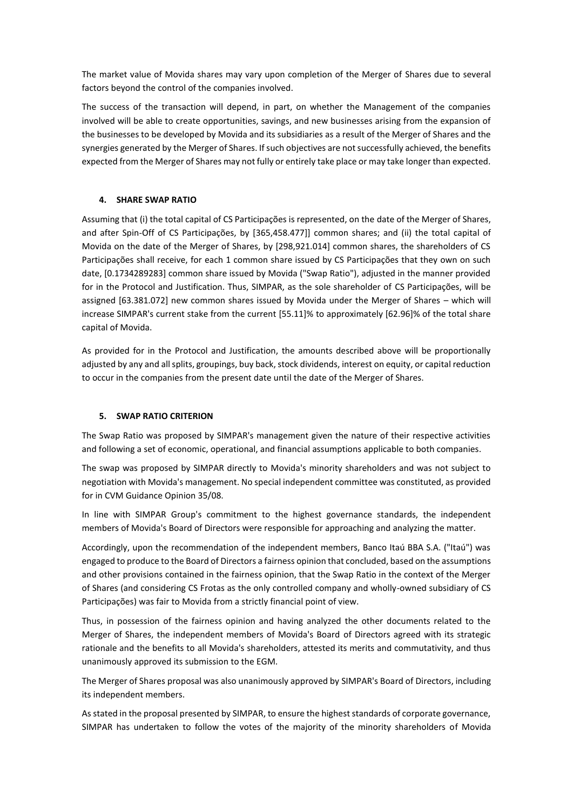The market value of Movida shares may vary upon completion of the Merger of Shares due to several factors beyond the control of the companies involved.

The success of the transaction will depend, in part, on whether the Management of the companies involved will be able to create opportunities, savings, and new businesses arising from the expansion of the businesses to be developed by Movida and its subsidiaries as a result of the Merger of Shares and the synergies generated by the Merger of Shares. If such objectives are not successfully achieved, the benefits expected from the Merger of Shares may not fully or entirely take place or may take longer than expected.

### **4. SHARE SWAP RATIO**

Assuming that (i) the total capital of CS Participações is represented, on the date of the Merger of Shares, and after Spin-Off of CS Participações, by [365,458.477]] common shares; and (ii) the total capital of Movida on the date of the Merger of Shares, by [298,921.014] common shares, the shareholders of CS Participações shall receive, for each 1 common share issued by CS Participações that they own on such date, [0.1734289283] common share issued by Movida ("Swap Ratio"), adjusted in the manner provided for in the Protocol and Justification. Thus, SIMPAR, as the sole shareholder of CS Participações, will be assigned [63.381.072] new common shares issued by Movida under the Merger of Shares – which will increase SIMPAR's current stake from the current [55.11]% to approximately [62.96]% of the total share capital of Movida.

As provided for in the Protocol and Justification, the amounts described above will be proportionally adjusted by any and all splits, groupings, buy back, stock dividends, interest on equity, or capital reduction to occur in the companies from the present date until the date of the Merger of Shares.

#### **5. SWAP RATIO CRITERION**

The Swap Ratio was proposed by SIMPAR's management given the nature of their respective activities and following a set of economic, operational, and financial assumptions applicable to both companies.

The swap was proposed by SIMPAR directly to Movida's minority shareholders and was not subject to negotiation with Movida's management. No special independent committee was constituted, as provided for in CVM Guidance Opinion 35/08.

In line with SIMPAR Group's commitment to the highest governance standards, the independent members of Movida's Board of Directors were responsible for approaching and analyzing the matter.

Accordingly, upon the recommendation of the independent members, Banco Itaú BBA S.A. ("Itaú") was engaged to produce to the Board of Directors a fairness opinion that concluded, based on the assumptions and other provisions contained in the fairness opinion, that the Swap Ratio in the context of the Merger of Shares (and considering CS Frotas as the only controlled company and wholly-owned subsidiary of CS Participações) was fair to Movida from a strictly financial point of view.

Thus, in possession of the fairness opinion and having analyzed the other documents related to the Merger of Shares, the independent members of Movida's Board of Directors agreed with its strategic rationale and the benefits to all Movida's shareholders, attested its merits and commutativity, and thus unanimously approved its submission to the EGM.

The Merger of Shares proposal was also unanimously approved by SIMPAR's Board of Directors, including its independent members.

As stated in the proposal presented by SIMPAR, to ensure the highest standards of corporate governance, SIMPAR has undertaken to follow the votes of the majority of the minority shareholders of Movida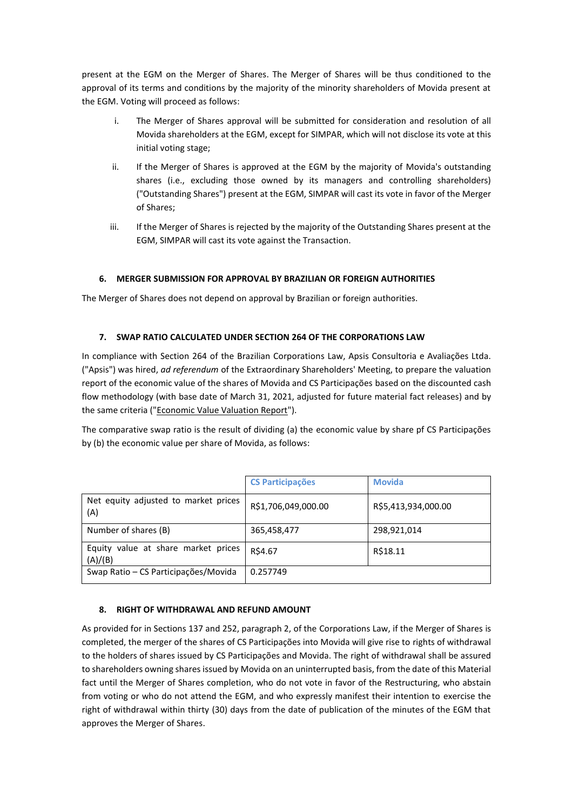present at the EGM on the Merger of Shares. The Merger of Shares will be thus conditioned to the approval of its terms and conditions by the majority of the minority shareholders of Movida present at the EGM. Voting will proceed as follows:

- i. The Merger of Shares approval will be submitted for consideration and resolution of all Movida shareholders at the EGM, except for SIMPAR, which will not disclose its vote at this initial voting stage;
- ii. If the Merger of Shares is approved at the EGM by the majority of Movida's outstanding shares (i.e., excluding those owned by its managers and controlling shareholders) ("Outstanding Shares") present at the EGM, SIMPAR will cast its vote in favor of the Merger of Shares;
- iii. If the Merger of Shares is rejected by the majority of the Outstanding Shares present at the EGM, SIMPAR will cast its vote against the Transaction.

## **6. MERGER SUBMISSION FOR APPROVAL BY BRAZILIAN OR FOREIGN AUTHORITIES**

The Merger of Shares does not depend on approval by Brazilian or foreign authorities.

## **7. SWAP RATIO CALCULATED UNDER SECTION 264 OF THE CORPORATIONS LAW**

In compliance with Section 264 of the Brazilian Corporations Law, Apsis Consultoria e Avaliações Ltda. ("Apsis") was hired, *ad referendum* of the Extraordinary Shareholders' Meeting, to prepare the valuation report of the economic value of the shares of Movida and CS Participações based on the discounted cash flow methodology (with base date of March 31, 2021, adjusted for future material fact releases) and by the same criteria ("Economic Value Valuation Report").

The comparative swap ratio is the result of dividing (a) the economic value by share pf CS Participações by (b) the economic value per share of Movida, as follows:

|                                                | <b>CS Participações</b> | <b>Movida</b>       |
|------------------------------------------------|-------------------------|---------------------|
| Net equity adjusted to market prices<br>(A)    | R\$1,706,049,000.00     | R\$5,413,934,000.00 |
| Number of shares (B)                           | 365,458,477             | 298,921,014         |
| Equity value at share market prices<br>(A)/(B) | R\$4.67                 | R\$18.11            |
| Swap Ratio – CS Participações/Movida           | 0.257749                |                     |

# **8. RIGHT OF WITHDRAWAL AND REFUND AMOUNT**

As provided for in Sections 137 and 252, paragraph 2, of the Corporations Law, if the Merger of Shares is completed, the merger of the shares of CS Participações into Movida will give rise to rights of withdrawal to the holders of shares issued by CS Participações and Movida. The right of withdrawal shall be assured to shareholders owning shares issued by Movida on an uninterrupted basis, from the date of this Material fact until the Merger of Shares completion, who do not vote in favor of the Restructuring, who abstain from voting or who do not attend the EGM, and who expressly manifest their intention to exercise the right of withdrawal within thirty (30) days from the date of publication of the minutes of the EGM that approves the Merger of Shares.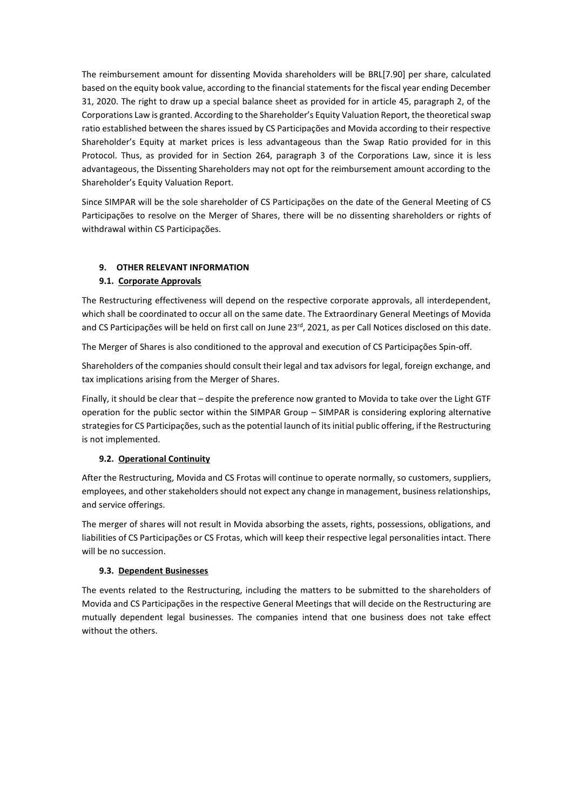The reimbursement amount for dissenting Movida shareholders will be BRL[7.90] per share, calculated based on the equity book value, according to the financial statements for the fiscal year ending December 31, 2020. The right to draw up a special balance sheet as provided for in article 45, paragraph 2, of the Corporations Law is granted. According to the Shareholder's Equity Valuation Report, the theoretical swap ratio established between the shares issued by CS Participações and Movida according to their respective Shareholder's Equity at market prices is less advantageous than the Swap Ratio provided for in this Protocol. Thus, as provided for in Section 264, paragraph 3 of the Corporations Law, since it is less advantageous, the Dissenting Shareholders may not opt for the reimbursement amount according to the Shareholder's Equity Valuation Report.

Since SIMPAR will be the sole shareholder of CS Participações on the date of the General Meeting of CS Participações to resolve on the Merger of Shares, there will be no dissenting shareholders or rights of withdrawal within CS Participações.

## **9. OTHER RELEVANT INFORMATION**

## **9.1. Corporate Approvals**

The Restructuring effectiveness will depend on the respective corporate approvals, all interdependent, which shall be coordinated to occur all on the same date. The Extraordinary General Meetings of Movida and CS Participações will be held on first call on June 23rd, 2021, as per Call Notices disclosed on this date.

The Merger of Shares is also conditioned to the approval and execution of CS Participações Spin-off.

Shareholders of the companies should consult their legal and tax advisors for legal, foreign exchange, and tax implications arising from the Merger of Shares.

Finally, it should be clear that – despite the preference now granted to Movida to take over the Light GTF operation for the public sector within the SIMPAR Group – SIMPAR is considering exploring alternative strategies for CS Participações, such as the potential launch of its initial public offering, if the Restructuring is not implemented.

### **9.2. Operational Continuity**

After the Restructuring, Movida and CS Frotas will continue to operate normally, so customers, suppliers, employees, and other stakeholders should not expect any change in management, business relationships, and service offerings.

The merger of shares will not result in Movida absorbing the assets, rights, possessions, obligations, and liabilities of CS Participações or CS Frotas, which will keep their respective legal personalities intact. There will be no succession.

### **9.3. Dependent Businesses**

The events related to the Restructuring, including the matters to be submitted to the shareholders of Movida and CS Participações in the respective General Meetings that will decide on the Restructuring are mutually dependent legal businesses. The companies intend that one business does not take effect without the others.